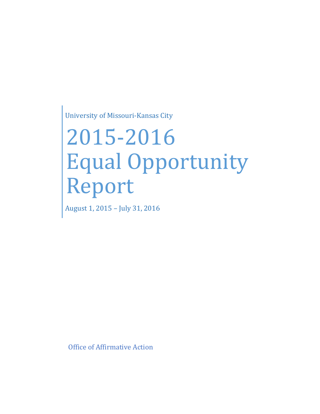University of Missouri-Kansas City

# 2015-2016 Equal Opportunity Report

August 1, 2015 – July 31, 2016

Office of Affirmative Action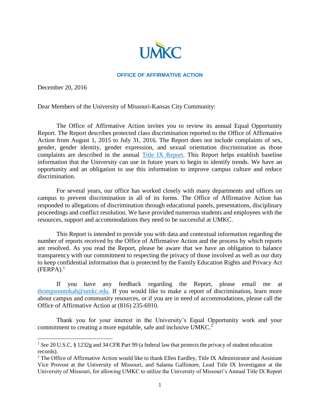

#### **OFFICE OF AFFIRMATIVE ACTION**

December 20, 2016

l

Dear Members of the University of Missouri-Kansas City Community:

The Office of Affirmative Action invites you to review its annual Equal Opportunity Report. The Report describes protected class discrimination reported to the Office of Affirmative Action from August 1, 2015 to July 31, 2016. The Report does not include complaints of sex, gender, gender identity, gender expression, and sexual orientation discrimination as those complaints are described in the annual [Title IX Report.](https://info.umkc.edu/title9/wp-content/uploads/2014/12/Final-Draft-2015-2016-Annual-Report.pdf) This Report helps establish baseline information that the University can use in future years to begin to identify trends. We have an opportunity and an obligation to use this information to improve campus culture and reduce discrimination.

For several years, our office has worked closely with many departments and offices on campus to prevent discrimination in all of its forms. The Office of Affirmative Action has responded to allegations of discrimination through educational panels, presentations, disciplinary proceedings and conflict resolution. We have provided numerous students and employees with the resources, support and accommodations they need to be successful at UMKC.

This Report is intended to provide you with data and contextual information regarding the number of reports received by the Office of Affirmative Action and the process by which reports are resolved. As you read the Report, please be aware that we have an obligation to balance transparency with our commitment to respecting the privacy of those involved as well as our duty to keep confidential information that is protected by the Family Education Rights and Privacy Act  $(FERPA).<sup>1</sup>$ 

If you have any feedback regarding the Report, please email me at [thompsonmikah@umkc.edu.](mailto:title9@missouri.edu) If you would like to make a report of discrimination, learn more about campus and community resources, or if you are in need of accommodations, please call the Office of Affirmative Action at (816) 235-6910.

Thank you for your interest in the University's Equal Opportunity work and your commitment to creating a more equitable, safe and inclusive UMKC.<sup>2</sup>

<sup>&</sup>lt;sup>1</sup> See 20 U.S.C. § 1232g and 34 CFR Part 99 (a federal law that protects the privacy of student education records).

<sup>&</sup>lt;sup>2</sup> The Office of Affirmative Action would like to thank Ellen Eardley, Title IX Administrator and Assistant Vice Provost at the University of Missouri, and Salama Gallimore, Lead Title IX Investigator at the University of Missouri, for allowing UMKC to utilize the University of Missouri's Annual Title IX Report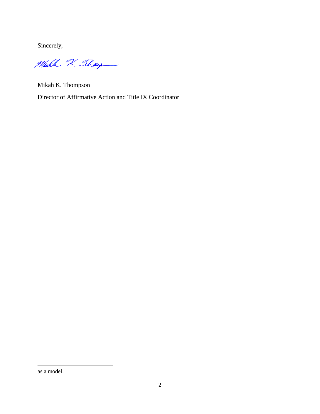Sincerely,

Make 2. Thay

Mikah K. Thompson Director of Affirmative Action and Title IX Coordinator

l

as a model.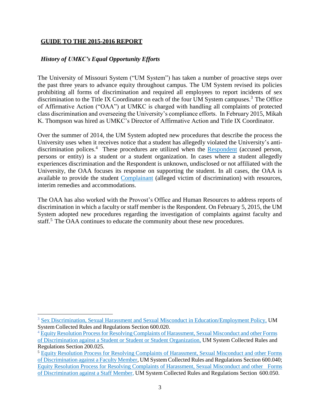## **GUIDE TO THE 2015-2016 REPORT**

 $\overline{a}$ 

#### *History of UMKC's Equal Opportunity Efforts*

The University of Missouri System ("UM System") has taken a number of proactive steps over the past three years to advance equity throughout campus. The UM System revised its policies prohibiting all forms of discrimination and required all employees to report incidents of sex discrimination to the Title IX Coordinator on each of the four UM System campuses.<sup>3</sup> The Office of Affirmative Action ("OAA") at UMKC is charged with handling all complaints of protected class discrimination and overseeing the University's compliance efforts. In February 2015, Mikah K. Thompson was hired as UMKC's Director of Affirmative Action and Title IX Coordinator.

Over the summer of 2014, the UM System adopted new procedures that describe the process the University uses when it receives notice that a student has allegedly violated the University's antidiscrimination polices.<sup>4</sup> These procedures are utilized when the **[Respondent](https://info.umkc.edu/title9/about/definitions/#accused)** (accused person, persons or entity) is a student or a student organization. In cases where a student allegedly experiences discrimination and the Respondent is unknown, undisclosed or not affiliated with the University, the OAA focuses its response on supporting the student. In all cases, the OAA is available to provide the student [Complainant](https://info.umkc.edu/title9/about/definitions/#complainant) (alleged victim of discrimination) with resources, interim remedies and accommodations.

The OAA has also worked with the Provost's Office and Human Resources to address reports of discrimination in which a faculty or staff member is the Respondent. On February 5, 2015, the UM System adopted new procedures regarding the investigation of complaints against faculty and staff.<sup>5</sup> The OAA continues to educate the community about these new procedures.

<sup>3</sup> Sex Discrimination, Sexual Harassment and Sexual Misconduct in [Education/Employment](https://www.umsystem.edu/ums/rules/collected_rules/equal_employment_educational_opportunity/ch600/600.020_sex_discrimination_sexual_harassment_and_sexual_misconduct) Policy, UM System Collected Rules and Regulations Section 600.020.

<sup>&</sup>lt;sup>4</sup> Equity Resolution Process for Resolving Complaints of Harassment, Sexual Misconduct and other Forms of [Discrimination](http://www.umsystem.edu/ums/rules/collected_rules/programs/ch200/200.025_equity_resolution_process_for_resolving_complaints_of_harassment) against a Student or Student or Student Organization, UM System Collected Rules and Regulations Section 200.025.

<sup>5</sup> Equity Resolution Process for Resolving Complaints of [Harassment,](http://www.umsystem.edu/ums/rules/collected_rules/equal_employment_educational_opportunity/ch600/600.040_equity_resolution_process_for_resolving_complaints_of_harassment) Sexual Misconduct and other Forms of [Discrimination](http://www.umsystem.edu/ums/rules/collected_rules/equal_employment_educational_opportunity/ch600/600.040_equity_resolution_process_for_resolving_complaints_of_harassment) against a Faculty Member, UM System Collected Rules and Regulations Section 600.040; Equity Resolution Process for Resolving Complaints of [Harassment,](http://www.umsystem.edu/ums/rules/collected_rules/equal_employment_educational_opportunity/ch600/chapter_600.050_equity_resolution_process_for_resolving_complaints) Sexual Misconduct and other Forms of [Discrimination](http://www.umsystem.edu/ums/rules/collected_rules/equal_employment_educational_opportunity/ch600/chapter_600.050_equity_resolution_process_for_resolving_complaints) against a Staff Member, UM System Collected Rules and Regulations Section 600.050.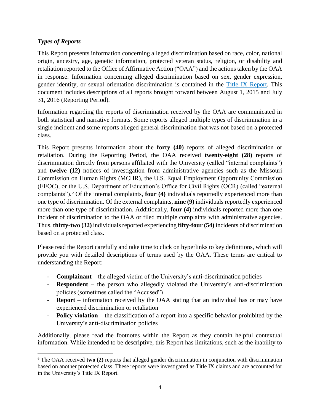# *Types of Reports*

l

This Report presents information concerning alleged discrimination based on race, color, national origin, ancestry, age, genetic information, protected veteran status, religion, or disability and retaliation reported to the Office of Affirmative Action ("OAA") and the actions taken by the OAA in response. Information concerning alleged discrimination based on sex, gender expression, gender identity, or sexual orientation discrimination is contained in the [Title IX Report.](https://info.umkc.edu/title9/wp-content/uploads/2014/12/Final-Draft-2015-2016-Annual-Report.pdf) This document includes descriptions of all reports brought forward between August 1, 2015 and July 31, 2016 (Reporting Period).

Information regarding the reports of discrimination received by the OAA are communicated in both statistical and narrative formats. Some reports alleged multiple types of discrimination in a single incident and some reports alleged general discrimination that was not based on a protected class.

This Report presents information about the **forty (40)** reports of alleged discrimination or retaliation. During the Reporting Period, the OAA received **twenty-eight (28)** reports of discrimination directly from persons affiliated with the University (called "internal complaints") and **twelve (12)** notices of investigation from administrative agencies such as the Missouri Commission on Human Rights (MCHR), the U.S. Equal Employment Opportunity Commission (EEOC), or the U.S. Department of Education's Office for Civil Rights (OCR) (called "external complaints"). <sup>6</sup> Of the internal complaints, **four (4)** individuals reportedly experienced more than one type of discrimination. Of the external complaints, **nine (9)** individuals reportedly experienced more than one type of discrimination. Additionally, **four (4)** individuals reported more than one incident of discrimination to the OAA or filed multiple complaints with administrative agencies. Thus, **thirty-two (32)** individuals reported experiencing **fifty-four (54)** incidents of discrimination based on a protected class.

Please read the Report carefully and take time to click on hyperlinks to key definitions, which will provide you with detailed descriptions of terms used by the OAA. These terms are critical to understanding the Report:

- **Complainant**  the alleged victim of the University's anti-discrimination policies
- **Respondent**  the person who allegedly violated the University's anti-discrimination policies (sometimes called the "Accused")
- **Report**  information received by the OAA stating that an individual has or may have experienced discrimination or retaliation
- **Policy violation**  the classification of a report into a specific behavior prohibited by the University's anti-discrimination policies

Additionally, please read the footnotes within the Report as they contain helpful contextual information. While intended to be descriptive, this Report has limitations, such as the inability to

<sup>6</sup> The OAA received **two (2)** reports that alleged gender discrimination in conjunction with discrimination based on another protected class. These reports were investigated as Title IX claims and are accounted for in the University's Title IX Report.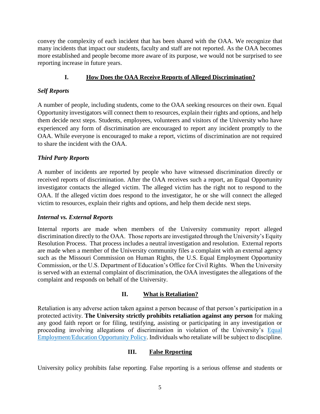convey the complexity of each incident that has been shared with the OAA. We recognize that many incidents that impact our students, faculty and staff are not reported. As the OAA becomes more established and people become more aware of its purpose, we would not be surprised to see reporting increase in future years.

# **I. How Does the OAA Receive Reports of Alleged Discrimination?**

## *Self Reports*

A number of people, including students, come to the OAA seeking resources on their own. Equal Opportunity investigators will connect them to resources, explain their rights and options, and help them decide next steps. Students, employees, volunteers and visitors of the University who have experienced any form of discrimination are encouraged to report any incident promptly to the OAA. While everyone is encouraged to make a report, victims of discrimination are not required to share the incident with the OAA.

## *Third Party Reports*

A number of incidents are reported by people who have witnessed discrimination directly or received reports of discrimination. After the OAA receives such a report, an Equal Opportunity investigator contacts the alleged victim. The alleged victim has the right not to respond to the OAA. If the alleged victim does respond to the investigator, he or she will connect the alleged victim to resources, explain their rights and options, and help them decide next steps.

## *Internal vs. External Reports*

Internal reports are made when members of the University community report alleged discrimination directly to the OAA. Those reports are investigated through the University's Equity Resolution Process. That process includes a neutral investigation and resolution. External reports are made when a member of the University community files a complaint with an external agency such as the Missouri Commission on Human Rights, the U.S. Equal Employment Opportunity Commission, or the U.S. Department of Education's Office for Civil Rights. When the University is served with an external complaint of discrimination, the OAA investigates the allegations of the complaint and responds on behalf of the University.

# **II. What is Retaliation?**

Retaliation is any adverse action taken against a person because of that person's participation in a protected activity. **The University strictly prohibits retaliation against any person** for making any good faith report or for filing, testifying, assisting or participating in any investigation or proceeding involving allegations of discrimination in violation of the University's [Equal](https://www.umsystem.edu/ums/rules/collected_rules/personnel/ch320/320.010_Equal_Employment_Opportunity_Policy/)  [Employment/Education Opportunity Policy.](https://www.umsystem.edu/ums/rules/collected_rules/personnel/ch320/320.010_Equal_Employment_Opportunity_Policy/) Individuals who retaliate will be subject to discipline.

## **III. False Reporting**

University policy prohibits false reporting. False reporting is a serious offense and students or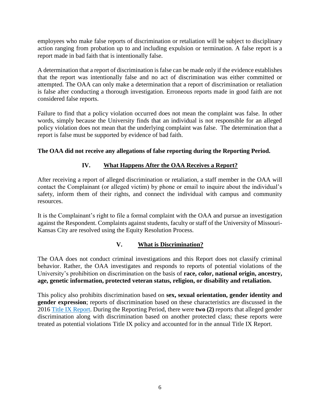employees who make false reports of discrimination or retaliation will be subject to disciplinary action ranging from probation up to and including expulsion or termination. A false report is a report made in bad faith that is intentionally false.

A determination that a report of discrimination is false can be made only if the evidence establishes that the report was intentionally false and no act of discrimination was either committed or attempted. The OAA can only make a determination that a report of discrimination or retaliation is false after conducting a thorough investigation. Erroneous reports made in good faith are not considered false reports.

Failure to find that a policy violation occurred does not mean the complaint was false. In other words, simply because the University finds that an individual is not responsible for an alleged policy violation does not mean that the underlying complaint was false. The determination that a report is false must be supported by evidence of bad faith.

# **The OAA did not receive any allegations of false reporting during the Reporting Period.**

# **IV. What Happens After the OAA Receives a Report?**

After receiving a report of alleged discrimination or retaliation, a staff member in the OAA will contact the Complainant (or alleged victim) by phone or email to inquire about the individual's safety, inform them of their rights, and connect the individual with campus and community resources.

It is the Complainant's right to file a formal complaint with the OAA and pursue an investigation against the Respondent. Complaints against students, faculty or staff of the University of Missouri-Kansas City are resolved using the Equity Resolution Process.

# **V. What is Discrimination?**

The OAA does not conduct criminal investigations and this Report does not classify criminal behavior. Rather, the OAA investigates and responds to reports of potential violations of the University's prohibition on discrimination on the basis of **race, color, national origin, ancestry, age, genetic information, protected veteran status, religion, or disability and retaliation.**

This policy also prohibits discrimination based on **sex, sexual orientation, gender identity and gender expression**; reports of discrimination based on these characteristics are discussed in the 2016 [Title IX Report.](https://info.umkc.edu/title9/wp-content/uploads/2014/12/Final-Draft-2015-2016-Annual-Report.pdf) During the Reporting Period, there were **two (2)** reports that alleged gender discrimination along with discrimination based on another protected class; these reports were treated as potential violations Title IX policy and accounted for in the annual Title IX Report.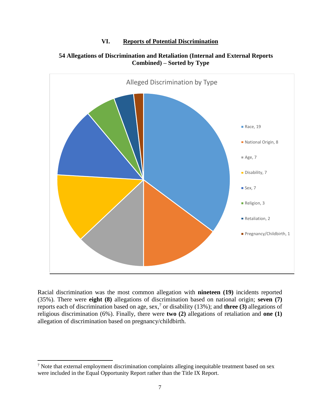#### **VI. Reports of Potential Discrimination**



#### **54 Allegations of Discrimination and Retaliation (Internal and External Reports Combined) – Sorted by Type**

Racial discrimination was the most common allegation with **nineteen (19)** incidents reported (35%). There were **eight (8)** allegations of discrimination based on national origin; **seven (7)**  reports each of discrimination based on age, sex,<sup>7</sup> or disability (13%); and **three (3)** allegations of religious discrimination (6%). Finally, there were **two (2)** allegations of retaliation and **one (1)**  allegation of discrimination based on pregnancy/childbirth.

l

<sup>7</sup> Note that external employment discrimination complaints alleging inequitable treatment based on sex were included in the Equal Opportunity Report rather than the Title IX Report.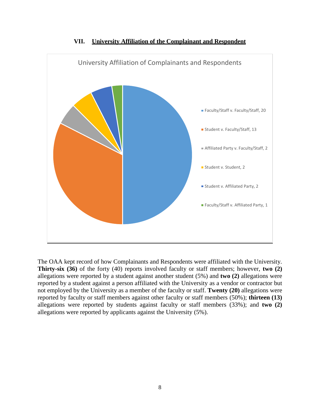

**VII. University Affiliation of the Complainant and Respondent**

The OAA kept record of how Complainants and Respondents were affiliated with the University. **Thirty-six (36)** of the forty (40) reports involved faculty or staff members; however, **two (2)** allegations were reported by a student against another student (5%) and **two (2)** allegations were reported by a student against a person affiliated with the University as a vendor or contractor but not employed by the University as a member of the faculty or staff. **Twenty (20)** allegations were reported by faculty or staff members against other faculty or staff members (50%); **thirteen (13)**  allegations were reported by students against faculty or staff members (33%); and **two (2)** allegations were reported by applicants against the University (5%).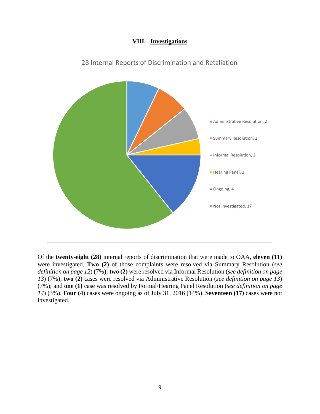



Of the **twenty-eight (28)** internal reports of discrimination that were made to OAA, **eleven (11)**  were investigated. **Two (2)** of those complaints were resolved via Summary Resolution (*see definition on page 12*) (7%); **two (2)** were resolved via Informal Resolution (*see definition on page 13*) (7%); **two (2)** cases were resolved via Administrative Resolution (*see definition on page 13*) (7%); and **one (1)** case was resolved by Formal/Hearing Panel Resolution (*see definition on page 14*) (3%). **Four (4)** cases were ongoing as of July 31, 2016 (14%). **Seventeen (17)** cases were not investigated.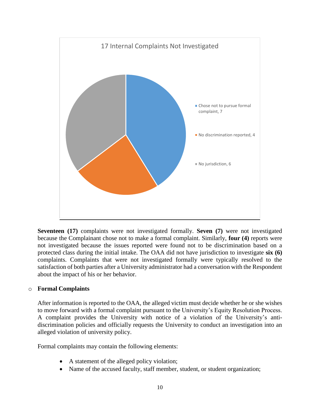

**Seventeen (17)** complaints were not investigated formally. **Seven (7)** were not investigated because the Complainant chose not to make a formal complaint. Similarly, **four (4)** reports were not investigated because the issues reported were found not to be discrimination based on a protected class during the initial intake. The OAA did not have jurisdiction to investigate **six (6)**  complaints. Complaints that were not investigated formally were typically resolved to the satisfaction of both parties after a University administrator had a conversation with the Respondent about the impact of his or her behavior.

#### o **Formal Complaints**

After information is reported to the OAA, the alleged victim must decide whether he or she wishes to move forward with a formal complaint pursuant to the University's Equity Resolution Process. A complaint provides the University with notice of a violation of the University's antidiscrimination policies and officially requests the University to conduct an investigation into an alleged violation of university policy.

Formal complaints may contain the following elements:

- A statement of the alleged policy violation;
- Name of the accused faculty, staff member, student, or student organization;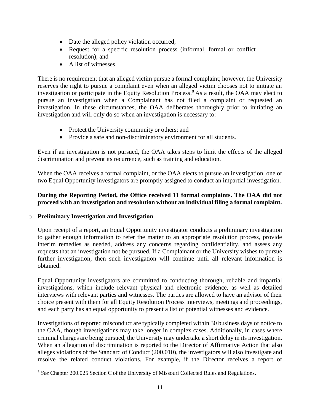- Date the alleged policy violation occurred;
- Request for a specific resolution process (informal, formal or conflict resolution); and
- A list of witnesses.

There is no requirement that an alleged victim pursue a formal complaint; however, the University reserves the right to pursue a complaint even when an alleged victim chooses not to initiate an investigation or participate in the Equity Resolution Process.<sup>8</sup> As a result, the OAA may elect to pursue an investigation when a Complainant has not filed a complaint or requested an investigation. In these circumstances, the OAA deliberates thoroughly prior to initiating an investigation and will only do so when an investigation is necessary to:

- Protect the University community or others; and
- Provide a safe and non-discriminatory environment for all students.

Even if an investigation is not pursued, the OAA takes steps to limit the effects of the alleged discrimination and prevent its recurrence, such as training and education.

When the OAA receives a formal complaint, or the OAA elects to pursue an investigation, one or two Equal Opportunity investigators are promptly assigned to conduct an impartial investigation.

## **During the Reporting Period, the Office received 11 formal complaints. The OAA did not proceed with an investigation and resolution without an individual filing a formal complaint.**

## o **Preliminary Investigation and Investigation**

 $\overline{a}$ 

Upon receipt of a report, an Equal Opportunity investigator conducts a preliminary investigation to gather enough information to refer the matter to an appropriate resolution process, provide interim remedies as needed, address any concerns regarding confidentiality, and assess any requests that an investigation not be pursued. If a Complainant or the University wishes to pursue further investigation, then such investigation will continue until all relevant information is obtained.

Equal Opportunity investigators are committed to conducting thorough, reliable and impartial investigations, which include relevant physical and electronic evidence, as well as detailed interviews with relevant parties and witnesses. The parties are allowed to have an advisor of their choice present with them for all Equity Resolution Process interviews, meetings and proceedings, and each party has an equal opportunity to present a list of potential witnesses and evidence.

Investigations of reported misconduct are typically completed within 30 business days of notice to the OAA, though investigations may take longer in complex cases. Additionally, in cases where criminal charges are being pursued, the University may undertake a short delay in its investigation. When an allegation of discrimination is reported to the Director of Affirmative Action that also alleges violations of the Standard of Conduct (200.010), the investigators will also investigate and resolve the related conduct violations. For example, if the Director receives a report of

<sup>8</sup> *See* Chapter 200.025 Section C of the University of Missouri Collected Rules and Regulations.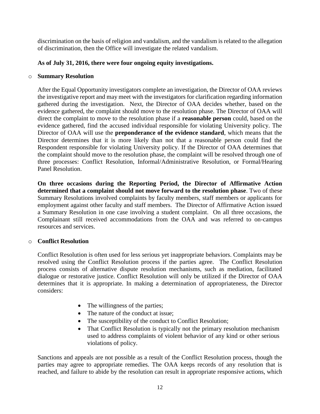discrimination on the basis of religion and vandalism, and the vandalism is related to the allegation of discrimination, then the Office will investigate the related vandalism.

## **As of July 31, 2016, there were four ongoing equity investigations.**

#### o **Summary Resolution**

After the Equal Opportunity investigators complete an investigation, the Director of OAA reviews the investigative report and may meet with the investigators for clarification regarding information gathered during the investigation. Next, the Director of OAA decides whether, based on the evidence gathered, the complaint should move to the resolution phase. The Director of OAA will direct the complaint to move to the resolution phase if a **reasonable person** could, based on the evidence gathered, find the accused individual responsible for violating University policy. The Director of OAA will use the **preponderance of the evidence standard**, which means that the Director determines that it is more likely than not that a reasonable person could find the Respondent responsible for violating University policy. If the Director of OAA determines that the complaint should move to the resolution phase, the complaint will be resolved through one of three processes: Conflict Resolution, Informal/Administrative Resolution, or Formal/Hearing Panel Resolution.

**On three occasions during the Reporting Period, the Director of Affirmative Action determined that a complaint should not move forward to the resolution phase**. Two of these Summary Resolutions involved complaints by faculty members, staff members or applicants for employment against other faculty and staff members. The Director of Affirmative Action issued a Summary Resolution in one case involving a student complaint.On all three occasions, the Complainant still received accommodations from the OAA and was referred to on-campus resources and services.

## o **Conflict Resolution**

Conflict Resolution is often used for less serious yet inappropriate behaviors. Complaints may be resolved using the Conflict Resolution process if the parties agree. The Conflict Resolution process consists of alternative dispute resolution mechanisms, such as mediation, facilitated dialogue or restorative justice. Conflict Resolution will only be utilized if the Director of OAA determines that it is appropriate. In making a determination of appropriateness, the Director considers:

- The willingness of the parties;
- The nature of the conduct at issue;
- The susceptibility of the conduct to Conflict Resolution;
- That Conflict Resolution is typically not the primary resolution mechanism used to address complaints of violent behavior of any kind or other serious violations of policy.

Sanctions and appeals are not possible as a result of the Conflict Resolution process, though the parties may agree to appropriate remedies. The OAA keeps records of any resolution that is reached, and failure to abide by the resolution can result in appropriate responsive actions, which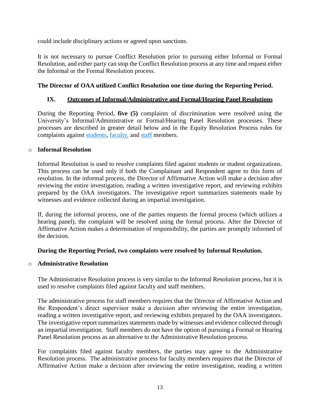could include disciplinary actions or agreed upon sanctions.

It is not necessary to pursue Conflict Resolution prior to pursuing either Informal or Formal Resolution, and either party can stop the Conflict Resolution process at any time and request either the Informal or the Formal Resolution process.

## **The Director of OAA utilized Conflict Resolution one time during the Reporting Period.**

## **IX. Outcomes of Informal/Administrative and Formal/Hearing Panel Resolutions**

During the Reporting Period, **five (5)** complaints of discrimination were resolved using the University's Informal/Administrative or Formal/Hearing Panel Resolution processes. These processes are described in greater detail below and in the Equity Resolution Process rules for complaints against [students,](https://www.umsystem.edu/ums/rules/collected_rules/programs/ch200/200.025_equity_resolution_process_for_resolving_complaints_of_harassment) [faculty,](https://www.umsystem.edu/ums/rules/collected_rules/equal_employment_educational_opportunity/ch600/600.040_equity_resolution_process_for_resolving_complaints_of_harassment) and [staff](https://www.umsystem.edu/ums/rules/collected_rules/equal_employment_educational_opportunity/ch600/chapter_600.050_equity_resolution_process_for_resolving_complaints) members.

#### o **Informal Resolution**

Informal Resolution is used to resolve complaints filed against students or student organizations. This process can be used only if both the Complainant and Respondent agree to this form of resolution. In the informal process, the Director of Affirmative Action will make a decision after reviewing the entire investigation, reading a written investigative report, and reviewing exhibits prepared by the OAA investigators. The investigative report summarizes statements made by witnesses and evidence collected during an impartial investigation.

If, during the informal process, one of the parties requests the formal process (which utilizes a hearing panel), the complaint will be resolved using the formal process. After the Director of Affirmative Action makes a determination of responsibility, the parties are promptly informed of the decision.

## **During the Reporting Period, two complaints were resolved by Informal Resolution.**

#### o **Administrative Resolution**

The Administrative Resolution process is very similar to the Informal Resolution process, but it is used to resolve complaints filed against faculty and staff members.

The administrative process for staff members requires that the Director of Affirmative Action and the Respondent's direct supervisor make a decision after reviewing the entire investigation, reading a written investigative report, and reviewing exhibits prepared by the OAA investigators. The investigative report summarizes statements made by witnesses and evidence collected through an impartial investigation. Staff members do not have the option of pursuing a Formal or Hearing Panel Resolution process as an alternative to the Administrative Resolution process.

For complaints filed against faculty members, the parties may agree to the Administrative Resolution process. The administrative process for faculty members requires that the Director of Affirmative Action make a decision after reviewing the entire investigation, reading a written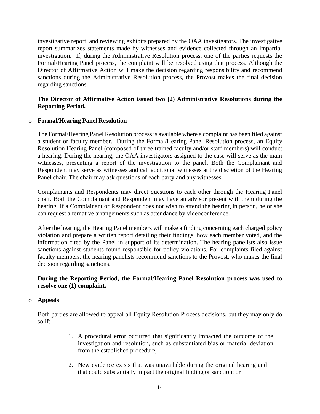investigative report, and reviewing exhibits prepared by the OAA investigators. The investigative report summarizes statements made by witnesses and evidence collected through an impartial investigation. If, during the Administrative Resolution process, one of the parties requests the Formal/Hearing Panel process, the complaint will be resolved using that process. Although the Director of Affirmative Action will make the decision regarding responsibility and recommend sanctions during the Administrative Resolution process, the Provost makes the final decision regarding sanctions.

#### **The Director of Affirmative Action issued two (2) Administrative Resolutions during the Reporting Period.**

#### o **Formal/Hearing Panel Resolution**

The Formal/Hearing Panel Resolution process is available where a complaint has been filed against a student or faculty member. During the Formal/Hearing Panel Resolution process, an Equity Resolution Hearing Panel (composed of three trained faculty and/or staff members) will conduct a hearing. During the hearing, the OAA investigators assigned to the case will serve as the main witnesses, presenting a report of the investigation to the panel. Both the Complainant and Respondent may serve as witnesses and call additional witnesses at the discretion of the Hearing Panel chair. The chair may ask questions of each party and any witnesses.

Complainants and Respondents may direct questions to each other through the Hearing Panel chair. Both the Complainant and Respondent may have an advisor present with them during the hearing. If a Complainant or Respondent does not wish to attend the hearing in person, he or she can request alternative arrangements such as attendance by videoconference.

After the hearing, the Hearing Panel members will make a finding concerning each charged policy violation and prepare a written report detailing their findings, how each member voted, and the information cited by the Panel in support of its determination. The hearing panelists also issue sanctions against students found responsible for policy violations. For complaints filed against faculty members, the hearing panelists recommend sanctions to the Provost, who makes the final decision regarding sanctions.

#### **During the Reporting Period, the Formal/Hearing Panel Resolution process was used to resolve one (1) complaint.**

#### o **Appeals**

Both parties are allowed to appeal all Equity Resolution Process decisions, but they may only do so if:

- 1. A procedural error occurred that significantly impacted the outcome of the investigation and resolution, such as substantiated bias or material deviation from the established procedure;
- 2. New evidence exists that was unavailable during the original hearing and that could substantially impact the original finding or sanction; or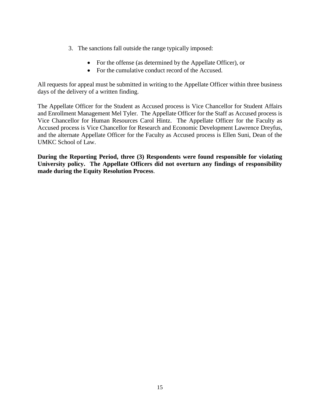- 3. The sanctions fall outside the range typically imposed:
	- For the offense (as determined by the Appellate Officer), or
	- For the cumulative conduct record of the Accused.

All requests for appeal must be submitted in writing to the Appellate Officer within three business days of the delivery of a written finding.

The Appellate Officer for the Student as Accused process is Vice Chancellor for Student Affairs and Enrollment Management Mel Tyler. The Appellate Officer for the Staff as Accused process is Vice Chancellor for Human Resources Carol Hintz. The Appellate Officer for the Faculty as Accused process is Vice Chancellor for Research and Economic Development Lawrence Dreyfus, and the alternate Appellate Officer for the Faculty as Accused process is Ellen Suni, Dean of the UMKC School of Law.

**During the Reporting Period, three (3) Respondents were found responsible for violating University policy. The Appellate Officers did not overturn any findings of responsibility made during the Equity Resolution Process**.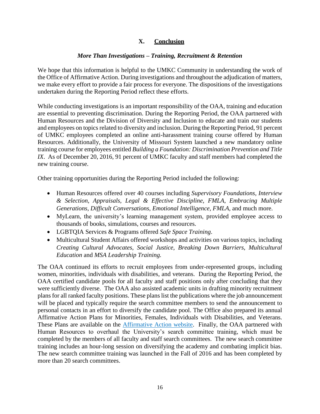## **X. Conclusion**

#### *More Than Investigations – Training, Recruitment & Retention*

We hope that this information is helpful to the UMKC Community in understanding the work of the Office of Affirmative Action. During investigations and throughout the adjudication of matters, we make every effort to provide a fair process for everyone. The dispositions of the investigations undertaken during the Reporting Period reflect these efforts.

While conducting investigations is an important responsibility of the OAA, training and education are essential to preventing discrimination. During the Reporting Period, the OAA partnered with Human Resources and the Division of Diversity and Inclusion to educate and train our students and employees on topics related to diversity and inclusion. During the Reporting Period, 91 percent of UMKC employees completed an online anti-harassment training course offered by Human Resources. Additionally, the University of Missouri System launched a new mandatory online training course for employees entitled *Building a Foundation: Discrimination Prevention and Title IX*. As of December 20, 2016, 91 percent of UMKC faculty and staff members had completed the new training course.

Other training opportunities during the Reporting Period included the following:

- Human Resources offered over 40 courses including *Supervisory Foundations, Interview & Selection, Appraisals, Legal & Effective Discipline, FMLA, Embracing Multiple Generations, Difficult Conversations, Emotional Intelligence, FMLA,* and much more.
- MyLearn, the university's learning management system, provided employee access to thousands of books, simulations, courses and resources.
- LGBTQIA Services & Programs offered *Safe Space Training*.
- Multicultural Student Affairs offered workshops and activities on various topics, including *Creating Cultural Advocates, Social Justice, Breaking Down Barriers, Multicultural Education* and *MSA Leadership Training.*

The OAA continued its efforts to recruit employees from under-represented groups, including women, minorities, individuals with disabilities, and veterans. During the Reporting Period, the OAA certified candidate pools for all faculty and staff positions only after concluding that they were sufficiently diverse. The OAA also assisted academic units in drafting minority recruitment plans for all ranked faculty positions. These plans list the publications where the job announcement will be placed and typically require the search committee members to send the announcement to personal contacts in an effort to diversify the candidate pool. The Office also prepared its annual Affirmative Action Plans for Minorities, Females, Individuals with Disabilities, and Veterans. These Plans are available on the [Affirmative Action website.](https://info.umkc.edu/hr/affirmative-action/) Finally, the OAA partnered with Human Resources to overhaul the University's search committee training, which must be completed by the members of all faculty and staff search committees. The new search committee training includes an hour-long session on diversifying the academy and combating implicit bias. The new search committee training was launched in the Fall of 2016 and has been completed by more than 20 search committees.